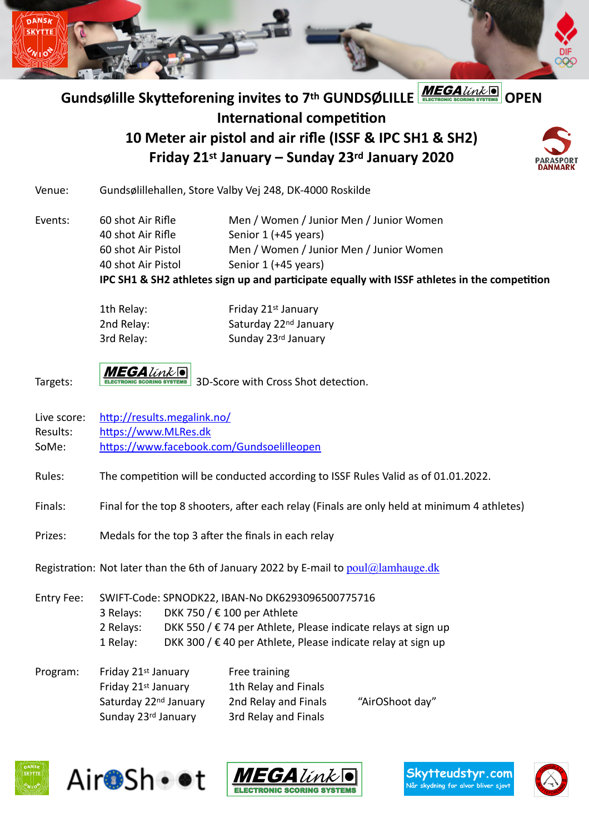

# Gundsølille Skytteforening invites to 7<sup>th</sup> GUNDSØLILLE **MEGA**LIME **International competition 10 Meter air pistol and air rifle (ISSF & IPC SH1 & SH2) Friday 21st January – Sunday 23rd January 2020**

Venue: Gundsølillehallen, Store Valby Vej 248, DK-4000 Roskilde

Events: 60 shot Air Rifle Men / Women / Junior Men / Junior Women 40 shot Air Rifle Senior 1 (+45 years) 60 shot Air Pistol Men / Women / Junior Men / Junior Women 40 shot Air Pistol Senior 1 (+45 years)

**IPC SH1 & SH2 athletes sign up and participate equally with ISSF athletes in the competition**

| 1th Relay: |
|------------|
| 2nd Relay: |
| 3rd Relay: |

Friday 21st January Saturday 22<sup>nd</sup> January Sunday 23rd January

Targets:  $\frac{MEGA\text{link}}{RECTRONIC SCORING SYSTEM}$  3D-Score with Cross Shot detection.

- Live score: <http://results.megalink.no/>
- Results: <https://www.MLRes.dk>

SoMe: <https://www.facebook.com/Gundsoelilleopen>

Rules: The competition will be conducted according to ISSF Rules Valid as of 01.01.2022.

Finals: Final for the top 8 shooters, after each relay (Finals are only held at minimum 4 athletes)

Prizes: Medals for the top 3 after the finals in each relay

Registration: Not later than the 6th of January 2022 by E-mail to  $\text{poul}(\hat{a})$  lamhauge.dk

Entry Fee: SWIFT-Code: SPNODK22, IBAN-No DK6293096500775716 3 Relays: DKK 750 / € 100 per Athlete 2 Relays: DKK 550 / € 74 per Athlete, Please indicate relays at sign up 1 Relay: DKK 300 /  $\epsilon$  40 per Athlete, Please indicate relay at sign up

| Program: | Friday 21st January               | Free training        |                 |
|----------|-----------------------------------|----------------------|-----------------|
|          | Friday 21st January               | 1th Relay and Finals |                 |
|          | Saturday 22 <sup>nd</sup> January | 2nd Relay and Finals | "AirOShoot day" |
|          | Sunday 23rd January               | 3rd Relay and Finals |                 |